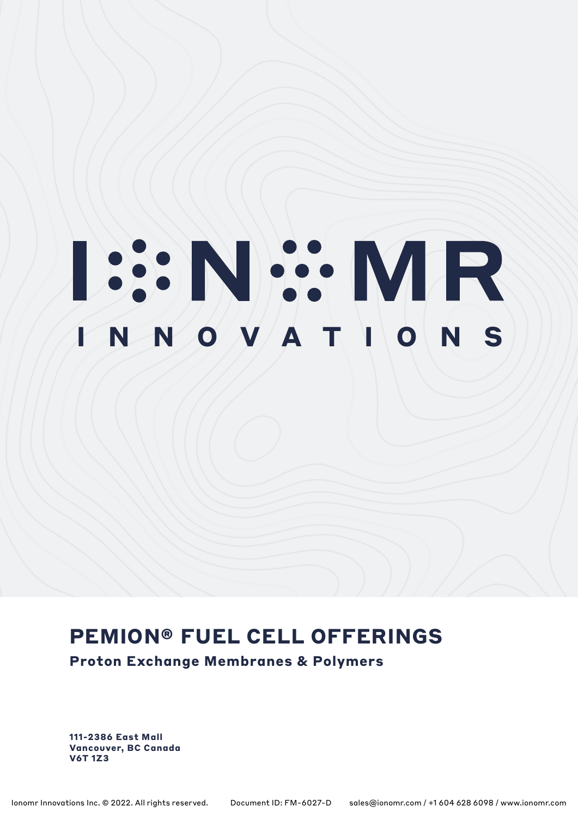# **ISSNEY MR**

# **PEMION® FUEL CELL OFFERINGS**

**Proton Exchange Membranes & Polymers**

**111-2386 East Mall Vancouver, BC Canada V6T 1Z3**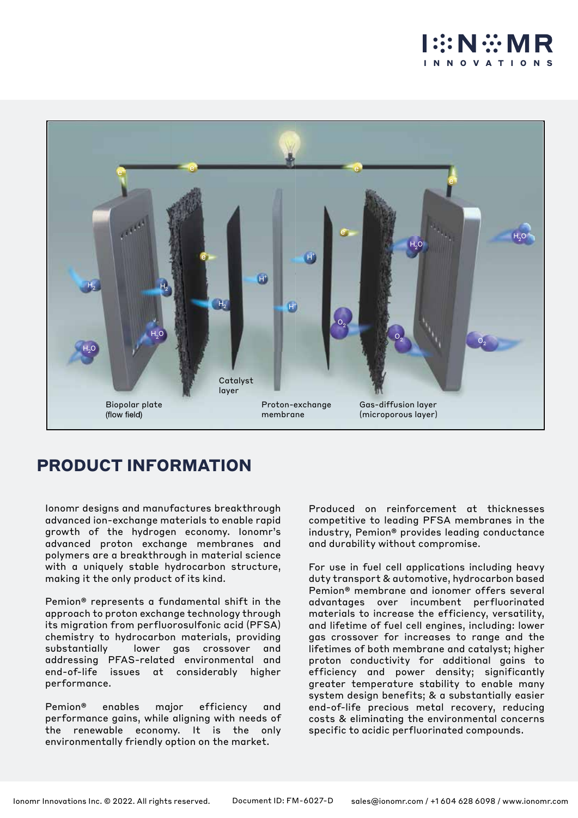



## **PRODUCT INFORMATION**

Ionomr designs and manufactures breakthrough advanced ion-exchange materials to enable rapid growth of the hydrogen economy. Ionomr's advanced proton exchange membranes and polymers are a breakthrough in material science with a uniquely stable hydrocarbon structure, making it the only product of its kind.

Pemion® represents a fundamental shift in the approach to proton exchange technology through its migration from perfluorosulfonic acid (PFSA) chemistry to hydrocarbon materials, providing substantially lower gas crossover and addressing PFAS-related environmental and end-of-life issues at considerably higher performance.

Pemion® enables major efficiency and performance gains, while aligning with needs of the renewable economy. It is the only environmentally friendly option on the market.

Produced on reinforcement at thicknesses competitive to leading PFSA membranes in the industry, Pemion® provides leading conductance and durability without compromise.

For use in fuel cell applications including heavy duty transport & automotive, hydrocarbon based Pemion® membrane and ionomer offers several advantages over incumbent perfluorinated materials to increase the efficiency, versatility, and lifetime of fuel cell engines, including: lower gas crossover for increases to range and the lifetimes of both membrane and catalyst; higher proton conductivity for additional gains to efficiency and power density; significantly greater temperature stability to enable many system design benefits; & a substantially easier end-of-life precious metal recovery, reducing costs & eliminating the environmental concerns specific to acidic perfluorinated compounds.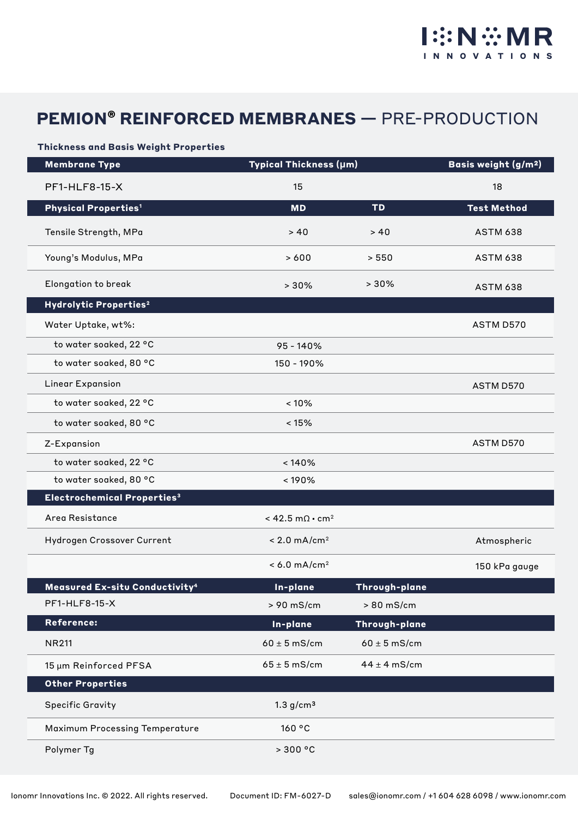# **PEMION® REINFORCED MEMBRANES —** PRE-PRODUCTION

#### **Thickness and Basis Weight Properties**

| <b>Membrane Type</b>                             | Typical Thickness (µm)              |                  | Basis weight (g/m <sup>2</sup> ) |
|--------------------------------------------------|-------------------------------------|------------------|----------------------------------|
| <b>PF1-HLF8-15-X</b>                             | 15                                  |                  | 18                               |
| <b>Physical Properties<sup>1</sup></b>           | <b>MD</b>                           | <b>TD</b>        | <b>Test Method</b>               |
| Tensile Strength, MPa                            | > 40                                | > 40             | <b>ASTM 638</b>                  |
| Young's Modulus, MPa                             | >600                                | > 550            | <b>ASTM 638</b>                  |
| Elongation to break                              | >30%                                | >30%             | <b>ASTM 638</b>                  |
| Hydrolytic Properties <sup>2</sup>               |                                     |                  |                                  |
| Water Uptake, wt%:                               |                                     |                  | ASTM D570                        |
| to water soaked, 22 °C                           | 95 - 140%                           |                  |                                  |
| to water soaked, 80 °C                           | 150 - 190%                          |                  |                                  |
| Linear Expansion                                 |                                     |                  | ASTM D570                        |
| to water soaked, 22 °C                           | < 10%                               |                  |                                  |
| to water soaked, 80 °C                           | < 15%                               |                  |                                  |
| Z-Expansion                                      |                                     |                  | ASTM D570                        |
| to water soaked, 22 °C                           | < 140%                              |                  |                                  |
| to water soaked, 80 °C                           | < 190%                              |                  |                                  |
| Electrochemical Properties <sup>3</sup>          |                                     |                  |                                  |
| Area Resistance                                  | < 42.5 m $\Omega$ · cm <sup>2</sup> |                  |                                  |
| Hydrogen Crossover Current                       | $< 2.0$ mA/cm <sup>2</sup>          |                  | Atmospheric                      |
|                                                  | $< 6.0 \text{ mA/cm}^2$             |                  | 150 kPa gauge                    |
| <b>Measured Ex-situ Conductivity<sup>4</sup></b> | In-plane                            | Through-plane    |                                  |
| PF1-HLF8-15-X                                    | > 90 mS/cm                          | > 80 mS/cm       |                                  |
| Reference:                                       | In-plane                            | Through-plane    |                                  |
| <b>NR211</b>                                     | $60 \pm 5$ mS/cm                    | $60 \pm 5$ mS/cm |                                  |
| 15 µm Reinforced PFSA                            | $65 \pm 5$ mS/cm                    | $44 \pm 4$ mS/cm |                                  |
| <b>Other Properties</b>                          |                                     |                  |                                  |
| <b>Specific Gravity</b>                          | 1.3 g/cm <sup>3</sup>               |                  |                                  |
| Maximum Processing Temperature                   | 160 °C                              |                  |                                  |
| Polymer Tg                                       | > 300 °C                            |                  |                                  |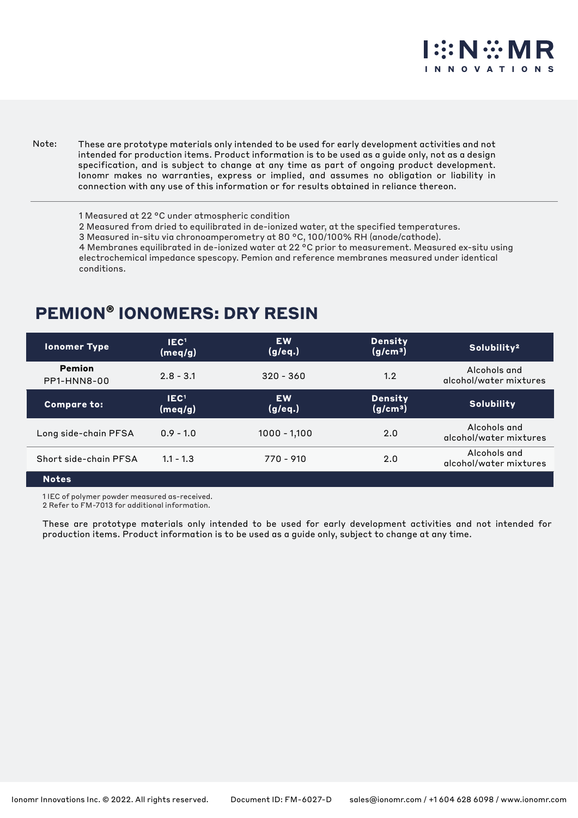# **OVATIO**

These are prototype materials only intended to be used for early development activities and not intended for production items. Product information is to be used as a guide only, not as a design specification, and is subject to change at any time as part of ongoing product development. Ionomr makes no warranties, express or implied, and assumes no obligation or liability in connection with any use of this information or for results obtained in reliance thereon. Note:

1 Measured at 22 °C under atmospheric condition

2 Measured from dried to equilibrated in de-ionized water, at the specified temperatures.

3 Measured in-situ via chronoamperometry at 80 °C, 100/100% RH (anode/cathode).

4 Membranes equilibrated in de-ionized water at 22 °C prior to measurement. Measured ex-situ using electrochemical impedance spescopy. Pemion and reference membranes measured under identical conditions.

### **PEMION® IONOMERS: DRY RESIN**

| <b>Ionomer Type</b>          | IEC <sup>1</sup><br>(meq/g) | <b>EW</b><br>(g/eq.) | <b>Density</b><br>(g/cm <sup>3</sup> ) | Solubility <sup>2</sup>                |
|------------------------------|-----------------------------|----------------------|----------------------------------------|----------------------------------------|
| <b>Pemion</b><br>PP1-HNN8-00 | $2.8 - 3.1$                 | $320 - 360$          | 1.2                                    | Alcohols and<br>alcohol/water mixtures |
| <b>Compare to:</b>           | IEC <sup>1</sup><br>(meq/g) | <b>EW</b><br>(g/eq.) | <b>Density</b><br>(g/cm <sup>3</sup> ) | <b>Solubility</b>                      |
| Long side-chain PFSA         | $0.9 - 1.0$                 | $1000 - 1,100$       | 2.0                                    | Alcohols and<br>alcohol/water mixtures |
| Short side-chain PFSA        | $1.1 - 1.3$                 | 770 - 910            | 2.0                                    | Alcohols and<br>alcohol/water mixtures |
| <b>Notes</b>                 |                             |                      |                                        |                                        |

1 IEC of polymer powder measured as-received.

2 Refer to FM-7013 for additional information.

These are prototype materials only intended to be used for early development activities and not intended for production items. Product information is to be used as a guide only, subject to change at any time.